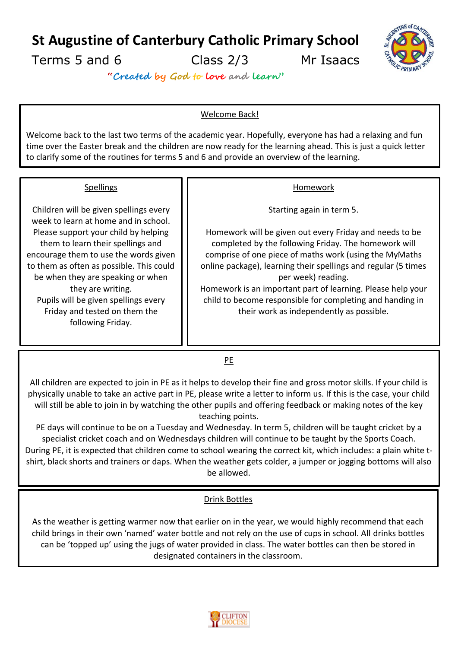**St Augustine of Canterbury Catholic Primary School**

Terms 5 and 6 Class 2/3 Mr Isaacs



**"Created by God to love and learn"**

# Welcome Back!

Welcome back to the last two terms of the academic year. Hopefully, everyone has had a relaxing and fun time over the Easter break and the children are now ready for the learning ahead. This is just a quick letter to clarify some of the routines for terms 5 and 6 and provide an overview of the learning.

### **Spellings**

Children will be given spellings every week to learn at home and in school. Please support your child by helping them to learn their spellings and encourage them to use the words given to them as often as possible. This could be when they are speaking or when they are writing. Pupils will be given spellings every Friday and tested on them the following Friday.

### Homework

Starting again in term 5.

Homework will be given out every Friday and needs to be completed by the following Friday. The homework will comprise of one piece of maths work (using the MyMaths online package), learning their spellings and regular (5 times per week) reading.

Homework is an important part of learning. Please help your child to become responsible for completing and handing in their work as independently as possible.

PE

All children are expected to join in PE as it helps to develop their fine and gross motor skills. If your child is physically unable to take an active part in PE, please write a letter to inform us. If this is the case, your child will still be able to join in by watching the other pupils and offering feedback or making notes of the key teaching points.

PE days will continue to be on a Tuesday and Wednesday. In term 5, children will be taught cricket by a specialist cricket coach and on Wednesdays children will continue to be taught by the Sports Coach. During PE, it is expected that children come to school wearing the correct kit, which includes: a plain white tshirt, black shorts and trainers or daps. When the weather gets colder, a jumper or jogging bottoms will also be allowed.

# Drink Bottles

As the weather is getting warmer now that earlier on in the year, we would highly recommend that each child brings in their own 'named' water bottle and not rely on the use of cups in school. All drinks bottles can be 'topped up' using the jugs of water provided in class. The water bottles can then be stored in designated containers in the classroom.